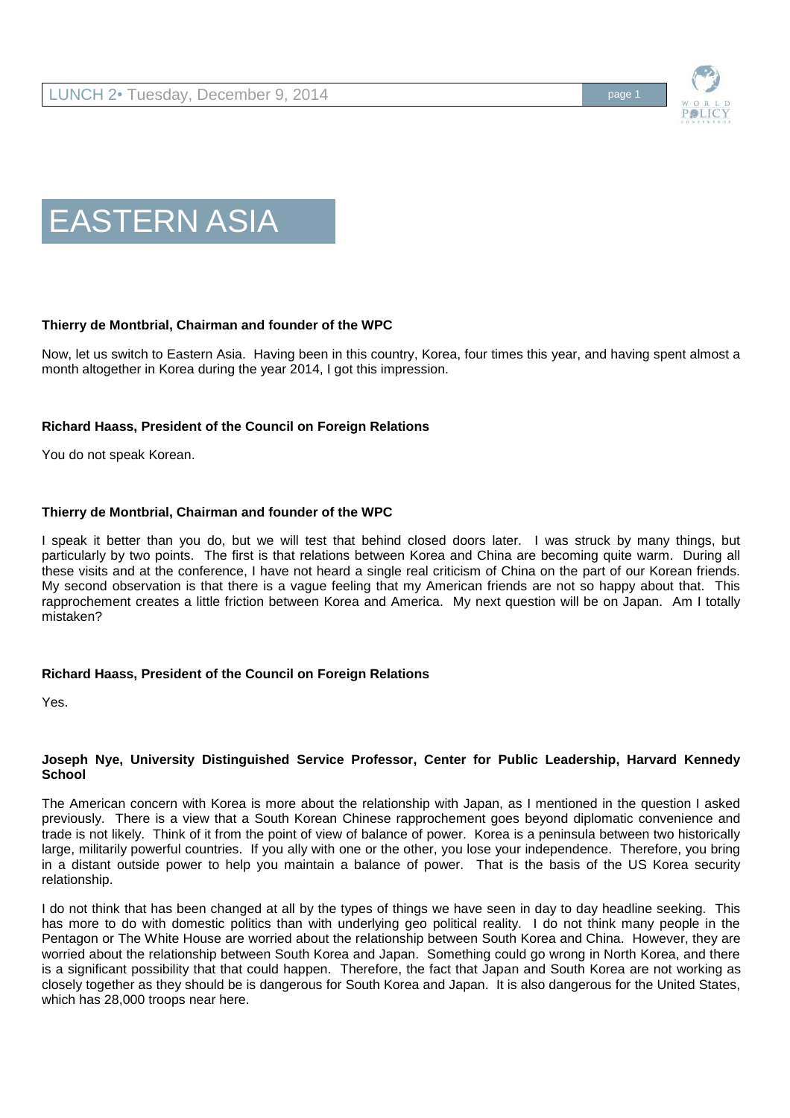



# **Thierry de Montbrial, Chairman and founder of the WPC**

Now, let us switch to Eastern Asia. Having been in this country, Korea, four times this year, and having spent almost a month altogether in Korea during the year 2014, I got this impression.

## **Richard Haass, President of the Council on Foreign Relations**

You do not speak Korean.

### **Thierry de Montbrial, Chairman and founder of the WPC**

I speak it better than you do, but we will test that behind closed doors later. I was struck by many things, but particularly by two points. The first is that relations between Korea and China are becoming quite warm. During all these visits and at the conference, I have not heard a single real criticism of China on the part of our Korean friends. My second observation is that there is a vague feeling that my American friends are not so happy about that. This rapprochement creates a little friction between Korea and America. My next question will be on Japan. Am I totally mistaken?

### **Richard Haass, President of the Council on Foreign Relations**

Yes.

### **Joseph Nye, University Distinguished Service Professor, Center for Public Leadership, Harvard Kennedy School**

The American concern with Korea is more about the relationship with Japan, as I mentioned in the question I asked previously. There is a view that a South Korean Chinese rapprochement goes beyond diplomatic convenience and trade is not likely. Think of it from the point of view of balance of power. Korea is a peninsula between two historically large, militarily powerful countries. If you ally with one or the other, you lose your independence. Therefore, you bring in a distant outside power to help you maintain a balance of power. That is the basis of the US Korea security relationship.

I do not think that has been changed at all by the types of things we have seen in day to day headline seeking. This has more to do with domestic politics than with underlying geo political reality. I do not think many people in the Pentagon or The White House are worried about the relationship between South Korea and China. However, they are worried about the relationship between South Korea and Japan. Something could go wrong in North Korea, and there is a significant possibility that that could happen. Therefore, the fact that Japan and South Korea are not working as closely together as they should be is dangerous for South Korea and Japan. It is also dangerous for the United States, which has 28,000 troops near here.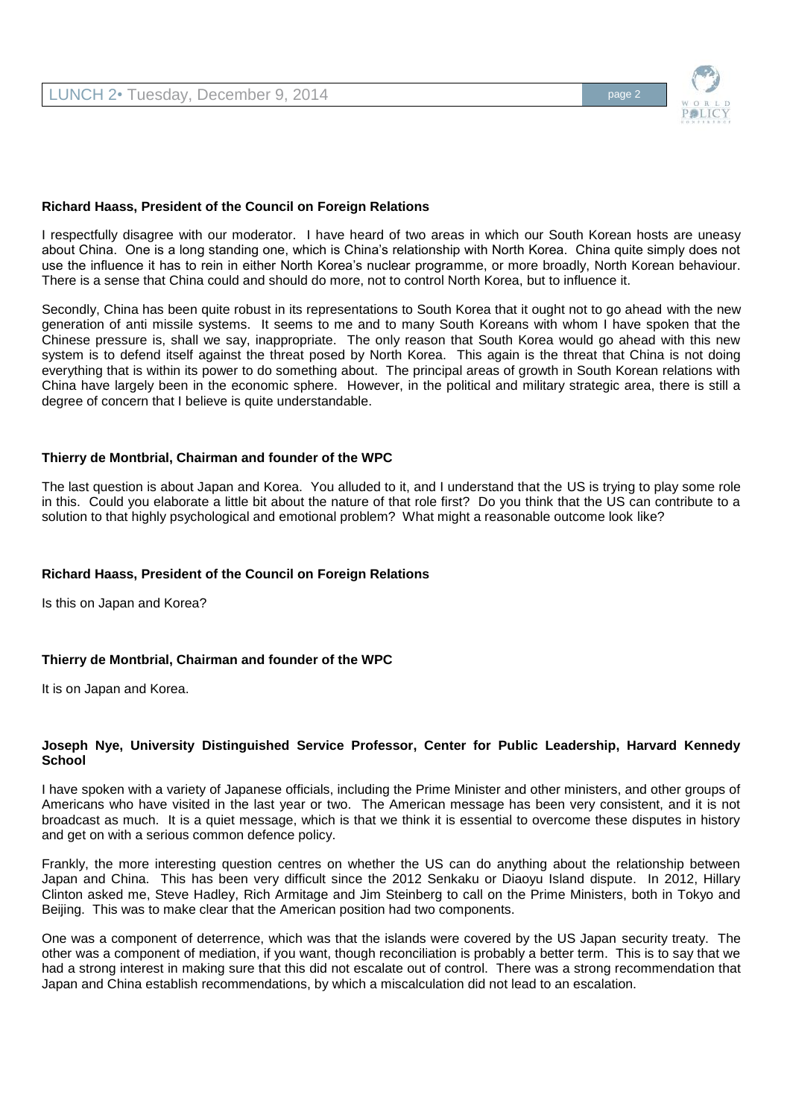

### **Richard Haass, President of the Council on Foreign Relations**

I respectfully disagree with our moderator. I have heard of two areas in which our South Korean hosts are uneasy about China. One is a long standing one, which is China's relationship with North Korea. China quite simply does not use the influence it has to rein in either North Korea's nuclear programme, or more broadly, North Korean behaviour. There is a sense that China could and should do more, not to control North Korea, but to influence it.

Secondly, China has been quite robust in its representations to South Korea that it ought not to go ahead with the new generation of anti missile systems. It seems to me and to many South Koreans with whom I have spoken that the Chinese pressure is, shall we say, inappropriate. The only reason that South Korea would go ahead with this new system is to defend itself against the threat posed by North Korea. This again is the threat that China is not doing everything that is within its power to do something about. The principal areas of growth in South Korean relations with China have largely been in the economic sphere. However, in the political and military strategic area, there is still a degree of concern that I believe is quite understandable.

#### **Thierry de Montbrial, Chairman and founder of the WPC**

The last question is about Japan and Korea. You alluded to it, and I understand that the US is trying to play some role in this. Could you elaborate a little bit about the nature of that role first? Do you think that the US can contribute to a solution to that highly psychological and emotional problem? What might a reasonable outcome look like?

### **Richard Haass, President of the Council on Foreign Relations**

Is this on Japan and Korea?

### **Thierry de Montbrial, Chairman and founder of the WPC**

It is on Japan and Korea.

### **Joseph Nye, University Distinguished Service Professor, Center for Public Leadership, Harvard Kennedy School**

I have spoken with a variety of Japanese officials, including the Prime Minister and other ministers, and other groups of Americans who have visited in the last year or two. The American message has been very consistent, and it is not broadcast as much. It is a quiet message, which is that we think it is essential to overcome these disputes in history and get on with a serious common defence policy.

Frankly, the more interesting question centres on whether the US can do anything about the relationship between Japan and China. This has been very difficult since the 2012 Senkaku or Diaoyu Island dispute. In 2012, Hillary Clinton asked me, Steve Hadley, Rich Armitage and Jim Steinberg to call on the Prime Ministers, both in Tokyo and Beijing. This was to make clear that the American position had two components.

One was a component of deterrence, which was that the islands were covered by the US Japan security treaty. The other was a component of mediation, if you want, though reconciliation is probably a better term. This is to say that we had a strong interest in making sure that this did not escalate out of control. There was a strong recommendation that Japan and China establish recommendations, by which a miscalculation did not lead to an escalation.